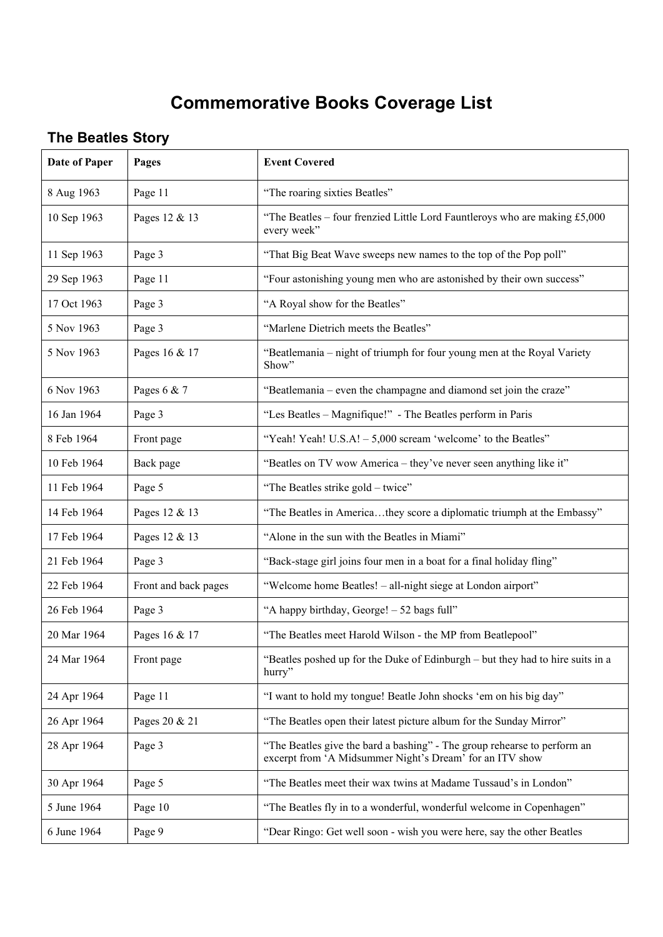## **Commemorative Books Coverage List**

## **The Beatles Story**

| <b>Date of Paper</b> | Pages                | <b>Event Covered</b>                                                                                                                 |
|----------------------|----------------------|--------------------------------------------------------------------------------------------------------------------------------------|
| 8 Aug 1963           | Page 11              | "The roaring sixties Beatles"                                                                                                        |
| 10 Sep 1963          | Pages 12 & 13        | "The Beatles - four frenzied Little Lord Fauntleroys who are making £5,000<br>every week"                                            |
| 11 Sep 1963          | Page 3               | "That Big Beat Wave sweeps new names to the top of the Pop poll"                                                                     |
| 29 Sep 1963          | Page 11              | "Four astonishing young men who are astonished by their own success"                                                                 |
| 17 Oct 1963          | Page 3               | "A Royal show for the Beatles"                                                                                                       |
| 5 Nov 1963           | Page 3               | "Marlene Dietrich meets the Beatles"                                                                                                 |
| 5 Nov 1963           | Pages 16 & 17        | "Beatlemania - night of triumph for four young men at the Royal Variety<br>Show"                                                     |
| 6 Nov 1963           | Pages $6 & 7$        | "Beatlemania – even the champagne and diamond set join the craze"                                                                    |
| 16 Jan 1964          | Page 3               | "Les Beatles - Magnifique!" - The Beatles perform in Paris                                                                           |
| 8 Feb 1964           | Front page           | "Yeah! Yeah! U.S.A! - 5,000 scream 'welcome' to the Beatles"                                                                         |
| 10 Feb 1964          | Back page            | "Beatles on TV wow America - they've never seen anything like it"                                                                    |
| 11 Feb 1964          | Page 5               | "The Beatles strike gold - twice"                                                                                                    |
| 14 Feb 1964          | Pages 12 & 13        | "The Beatles in Americathey score a diplomatic triumph at the Embassy"                                                               |
| 17 Feb 1964          | Pages 12 & 13        | "Alone in the sun with the Beatles in Miami"                                                                                         |
| 21 Feb 1964          | Page 3               | "Back-stage girl joins four men in a boat for a final holiday fling"                                                                 |
| 22 Feb 1964          | Front and back pages | "Welcome home Beatles! - all-night siege at London airport"                                                                          |
| 26 Feb 1964          | Page 3               | "A happy birthday, George! - 52 bags full"                                                                                           |
| 20 Mar 1964          | Pages 16 & 17        | "The Beatles meet Harold Wilson - the MP from Beatlepool"                                                                            |
| 24 Mar 1964          | Front page           | "Beatles poshed up for the Duke of Edinburgh – but they had to hire suits in a<br>hurry"                                             |
| 24 Apr 1964          | Page 11              | "I want to hold my tongue! Beatle John shocks 'em on his big day"                                                                    |
| 26 Apr 1964          | Pages 20 & 21        | "The Beatles open their latest picture album for the Sunday Mirror"                                                                  |
| 28 Apr 1964          | Page 3               | "The Beatles give the bard a bashing" - The group rehearse to perform an<br>excerpt from 'A Midsummer Night's Dream' for an ITV show |
| 30 Apr 1964          | Page 5               | "The Beatles meet their wax twins at Madame Tussaud's in London"                                                                     |
| 5 June 1964          | Page 10              | "The Beatles fly in to a wonderful, wonderful welcome in Copenhagen"                                                                 |
| 6 June 1964          | Page 9               | "Dear Ringo: Get well soon - wish you were here, say the other Beatles                                                               |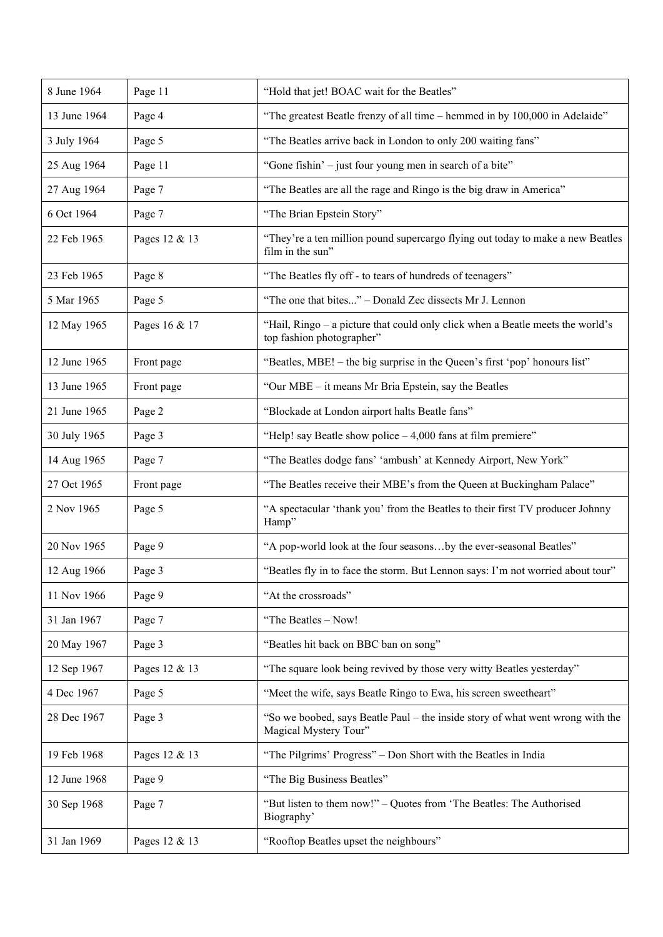| 8 June 1964  | Page 11       | "Hold that jet! BOAC wait for the Beatles"                                                                  |
|--------------|---------------|-------------------------------------------------------------------------------------------------------------|
| 13 June 1964 | Page 4        | "The greatest Beatle frenzy of all time - hemmed in by 100,000 in Adelaide"                                 |
| 3 July 1964  | Page 5        | "The Beatles arrive back in London to only 200 waiting fans"                                                |
| 25 Aug 1964  | Page 11       | "Gone fishin' - just four young men in search of a bite"                                                    |
| 27 Aug 1964  | Page 7        | "The Beatles are all the rage and Ringo is the big draw in America"                                         |
| 6 Oct 1964   | Page 7        | "The Brian Epstein Story"                                                                                   |
| 22 Feb 1965  | Pages 12 & 13 | "They're a ten million pound supercargo flying out today to make a new Beatles<br>film in the sun"          |
| 23 Feb 1965  | Page 8        | "The Beatles fly off - to tears of hundreds of teenagers"                                                   |
| 5 Mar 1965   | Page 5        | "The one that bites" – Donald Zec dissects Mr J. Lennon                                                     |
| 12 May 1965  | Pages 16 & 17 | "Hail, Ringo - a picture that could only click when a Beatle meets the world's<br>top fashion photographer" |
| 12 June 1965 | Front page    | "Beatles, MBE! – the big surprise in the Queen's first 'pop' honours list"                                  |
| 13 June 1965 | Front page    | "Our MBE – it means Mr Bria Epstein, say the Beatles                                                        |
| 21 June 1965 | Page 2        | "Blockade at London airport halts Beatle fans"                                                              |
| 30 July 1965 | Page 3        | "Help! say Beatle show police $-4,000$ fans at film premiere"                                               |
| 14 Aug 1965  | Page 7        | "The Beatles dodge fans' 'ambush' at Kennedy Airport, New York"                                             |
| 27 Oct 1965  | Front page    | "The Beatles receive their MBE's from the Queen at Buckingham Palace"                                       |
| 2 Nov 1965   | Page 5        | "A spectacular 'thank you' from the Beatles to their first TV producer Johnny<br>Hamp"                      |
| 20 Nov 1965  | Page 9        | "A pop-world look at the four seasonsby the ever-seasonal Beatles"                                          |
| 12 Aug 1966  | Page 3        | "Beatles fly in to face the storm. But Lennon says: I'm not worried about tour"                             |
| 11 Nov 1966  | Page 9        | "At the crossroads"                                                                                         |
| 31 Jan 1967  | Page 7        | "The Beatles - Now!                                                                                         |
| 20 May 1967  | Page 3        | "Beatles hit back on BBC ban on song"                                                                       |
| 12 Sep 1967  | Pages 12 & 13 | "The square look being revived by those very witty Beatles yesterday"                                       |
| 4 Dec 1967   | Page 5        | "Meet the wife, says Beatle Ringo to Ewa, his screen sweetheart"                                            |
| 28 Dec 1967  | Page 3        | "So we boobed, says Beatle Paul – the inside story of what went wrong with the<br>Magical Mystery Tour"     |
| 19 Feb 1968  | Pages 12 & 13 | "The Pilgrims' Progress" – Don Short with the Beatles in India                                              |
| 12 June 1968 | Page 9        | "The Big Business Beatles"                                                                                  |
| 30 Sep 1968  | Page 7        | "But listen to them now!" - Quotes from 'The Beatles: The Authorised<br>Biography'                          |
| 31 Jan 1969  | Pages 12 & 13 | "Rooftop Beatles upset the neighbours"                                                                      |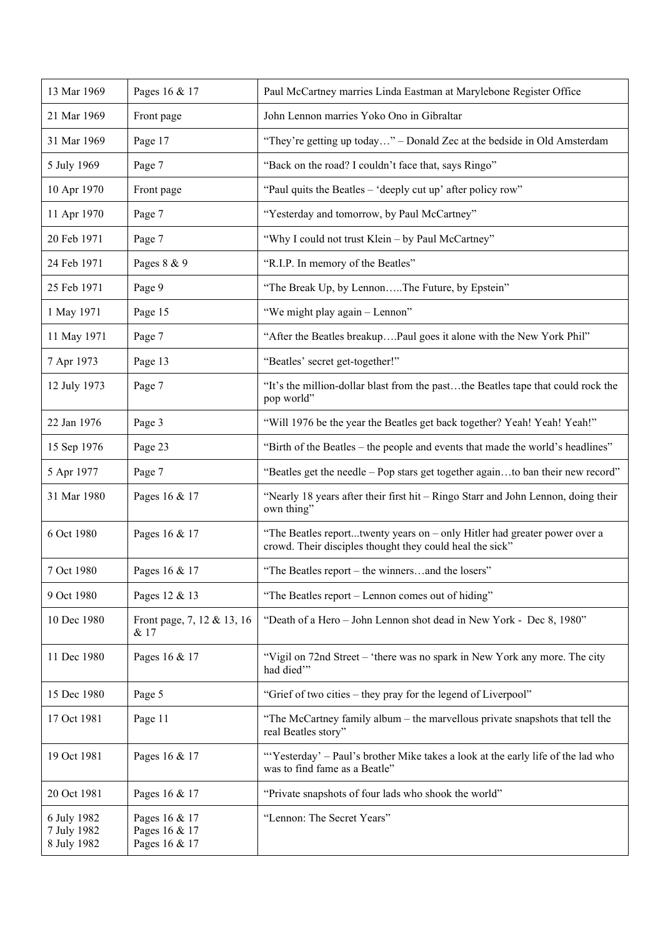| 13 Mar 1969                               | Pages 16 & 17                                   | Paul McCartney marries Linda Eastman at Marylebone Register Office                                                                    |
|-------------------------------------------|-------------------------------------------------|---------------------------------------------------------------------------------------------------------------------------------------|
| 21 Mar 1969                               | Front page                                      | John Lennon marries Yoko Ono in Gibraltar                                                                                             |
| 31 Mar 1969                               | Page 17                                         | "They're getting up today" – Donald Zec at the bedside in Old Amsterdam                                                               |
| 5 July 1969                               | Page 7                                          | "Back on the road? I couldn't face that, says Ringo"                                                                                  |
| 10 Apr 1970                               | Front page                                      | "Paul quits the Beatles - 'deeply cut up' after policy row"                                                                           |
| 11 Apr 1970                               | Page 7                                          | "Yesterday and tomorrow, by Paul McCartney"                                                                                           |
| 20 Feb 1971                               | Page 7                                          | "Why I could not trust Klein - by Paul McCartney"                                                                                     |
| 24 Feb 1971                               | Pages 8 & 9                                     | "R.I.P. In memory of the Beatles"                                                                                                     |
| 25 Feb 1971                               | Page 9                                          | "The Break Up, by LennonThe Future, by Epstein"                                                                                       |
| 1 May 1971                                | Page 15                                         | "We might play again - Lennon"                                                                                                        |
| 11 May 1971                               | Page 7                                          | "After the Beatles breakupPaul goes it alone with the New York Phil"                                                                  |
| 7 Apr 1973                                | Page 13                                         | "Beatles' secret get-together!"                                                                                                       |
| 12 July 1973                              | Page 7                                          | "It's the million-dollar blast from the pastthe Beatles tape that could rock the<br>pop world"                                        |
| 22 Jan 1976                               | Page 3                                          | "Will 1976 be the year the Beatles get back together? Yeah! Yeah! Yeah!"                                                              |
| 15 Sep 1976                               | Page 23                                         | "Birth of the Beatles – the people and events that made the world's headlines"                                                        |
| 5 Apr 1977                                | Page 7                                          | "Beatles get the needle - Pop stars get together againto ban their new record"                                                        |
| 31 Mar 1980                               | Pages 16 & 17                                   | "Nearly 18 years after their first hit - Ringo Starr and John Lennon, doing their<br>own thing"                                       |
| 6 Oct 1980                                | Pages 16 & 17                                   | "The Beatles reporttwenty years on - only Hitler had greater power over a<br>crowd. Their disciples thought they could heal the sick" |
| 7 Oct 1980                                | Pages 16 & 17                                   | "The Beatles report - the winnersand the losers"                                                                                      |
| 9 Oct 1980                                | Pages 12 & 13                                   | "The Beatles report – Lennon comes out of hiding"                                                                                     |
| 10 Dec 1980                               | Front page, 7, 12 & 13, 16<br>& 17              | "Death of a Hero - John Lennon shot dead in New York - Dec 8, 1980"                                                                   |
| 11 Dec 1980                               | Pages 16 & 17                                   | "Vigil on 72nd Street – 'there was no spark in New York any more. The city<br>had died"                                               |
| 15 Dec 1980                               | Page 5                                          | "Grief of two cities – they pray for the legend of Liverpool"                                                                         |
| 17 Oct 1981                               | Page 11                                         | "The McCartney family album – the marvellous private snapshots that tell the<br>real Beatles story"                                   |
| 19 Oct 1981                               | Pages 16 & 17                                   | "Yesterday' - Paul's brother Mike takes a look at the early life of the lad who<br>was to find fame as a Beatle"                      |
| 20 Oct 1981                               | Pages 16 & 17                                   | "Private snapshots of four lads who shook the world"                                                                                  |
| 6 July 1982<br>7 July 1982<br>8 July 1982 | Pages 16 & 17<br>Pages 16 & 17<br>Pages 16 & 17 | "Lennon: The Secret Years"                                                                                                            |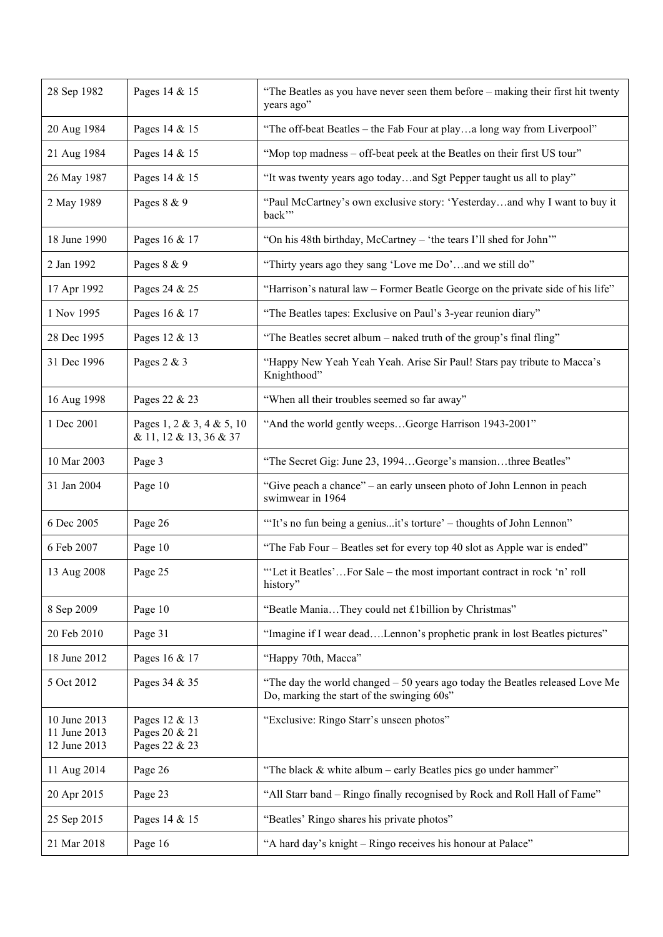| 28 Sep 1982                                  | Pages 14 & 15                                       | "The Beatles as you have never seen them before – making their first hit twenty<br>years ago"                              |
|----------------------------------------------|-----------------------------------------------------|----------------------------------------------------------------------------------------------------------------------------|
| 20 Aug 1984                                  | Pages 14 & 15                                       | "The off-beat Beatles - the Fab Four at playa long way from Liverpool"                                                     |
| 21 Aug 1984                                  | Pages 14 & 15                                       | "Mop top madness - off-beat peek at the Beatles on their first US tour"                                                    |
| 26 May 1987                                  | Pages 14 & 15                                       | "It was twenty years ago todayand Sgt Pepper taught us all to play"                                                        |
| 2 May 1989                                   | Pages 8 & 9                                         | "Paul McCartney's own exclusive story: 'Yesterdayand why I want to buy it<br>back"                                         |
| 18 June 1990                                 | Pages 16 & 17                                       | "On his 48th birthday, McCartney - 'the tears I'll shed for John'"                                                         |
| 2 Jan 1992                                   | Pages 8 & 9                                         | "Thirty years ago they sang 'Love me Do'and we still do"                                                                   |
| 17 Apr 1992                                  | Pages 24 & 25                                       | "Harrison's natural law - Former Beatle George on the private side of his life"                                            |
| 1 Nov 1995                                   | Pages 16 & 17                                       | "The Beatles tapes: Exclusive on Paul's 3-year reunion diary"                                                              |
| 28 Dec 1995                                  | Pages 12 & 13                                       | "The Beatles secret album - naked truth of the group's final fling"                                                        |
| 31 Dec 1996                                  | Pages 2 & 3                                         | "Happy New Yeah Yeah Yeah. Arise Sir Paul! Stars pay tribute to Macca's<br>Knighthood"                                     |
| 16 Aug 1998                                  | Pages 22 & 23                                       | "When all their troubles seemed so far away"                                                                               |
| 1 Dec 2001                                   | Pages 1, 2 & 3, 4 & 5, 10<br>& 11, 12 & 13, 36 & 37 | "And the world gently weepsGeorge Harrison 1943-2001"                                                                      |
| 10 Mar 2003                                  | Page 3                                              | "The Secret Gig: June 23, 1994George's mansionthree Beatles"                                                               |
| 31 Jan 2004                                  | Page 10                                             | "Give peach a chance" – an early unseen photo of John Lennon in peach<br>swimwear in 1964                                  |
| 6 Dec 2005                                   | Page 26                                             | "It's no fun being a geniusit's torture' – thoughts of John Lennon"                                                        |
| 6 Feb 2007                                   | Page 10                                             | "The Fab Four – Beatles set for every top 40 slot as Apple war is ended"                                                   |
| 13 Aug 2008                                  | Page 25                                             | "'Let it Beatles'For Sale - the most important contract in rock 'n' roll<br>history"                                       |
| 8 Sep 2009                                   | Page 10                                             | "Beatle ManiaThey could net £1billion by Christmas"                                                                        |
| 20 Feb 2010                                  | Page 31                                             | "Imagine if I wear deadLennon's prophetic prank in lost Beatles pictures"                                                  |
| 18 June 2012                                 | Pages 16 & 17                                       | "Happy 70th, Macca"                                                                                                        |
| 5 Oct 2012                                   | Pages 34 & 35                                       | "The day the world changed - 50 years ago today the Beatles released Love Me<br>Do, marking the start of the swinging 60s" |
| 10 June 2013<br>11 June 2013<br>12 June 2013 | Pages 12 & 13<br>Pages 20 & 21<br>Pages 22 & 23     | "Exclusive: Ringo Starr's unseen photos"                                                                                   |
| 11 Aug 2014                                  | Page 26                                             | "The black & white album - early Beatles pics go under hammer"                                                             |
| 20 Apr 2015                                  | Page 23                                             | "All Starr band - Ringo finally recognised by Rock and Roll Hall of Fame"                                                  |
| 25 Sep 2015                                  | Pages 14 & 15                                       | "Beatles' Ringo shares his private photos"                                                                                 |
| 21 Mar 2018                                  | Page 16                                             | "A hard day's knight - Ringo receives his honour at Palace"                                                                |